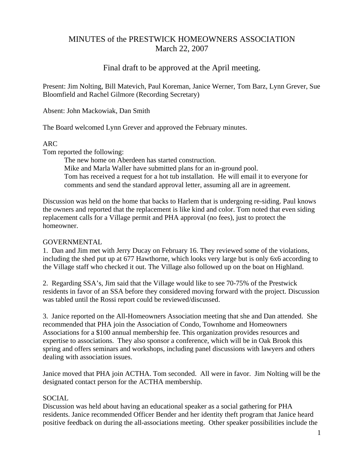# MINUTES of the PRESTWICK HOMEOWNERS ASSOCIATION March 22, 2007

# Final draft to be approved at the April meeting.

Present: Jim Nolting, Bill Matevich, Paul Koreman, Janice Werner, Tom Barz, Lynn Grever, Sue Bloomfield and Rachel Gilmore (Recording Secretary)

Absent: John Mackowiak, Dan Smith

The Board welcomed Lynn Grever and approved the February minutes.

## ARC

Tom reported the following:

 The new home on Aberdeen has started construction. Mike and Marla Waller have submitted plans for an in-ground pool. Tom has received a request for a hot tub installation. He will email it to everyone for comments and send the standard approval letter, assuming all are in agreement.

Discussion was held on the home that backs to Harlem that is undergoing re-siding. Paul knows the owners and reported that the replacement is like kind and color. Tom noted that even siding replacement calls for a Village permit and PHA approval (no fees), just to protect the homeowner.

## GOVERNMENTAL

1. Dan and Jim met with Jerry Ducay on February 16. They reviewed some of the violations, including the shed put up at 677 Hawthorne, which looks very large but is only 6x6 according to the Village staff who checked it out. The Village also followed up on the boat on Highland.

2. Regarding SSA's, Jim said that the Village would like to see 70-75% of the Prestwick residents in favor of an SSA before they considered moving forward with the project. Discussion was tabled until the Rossi report could be reviewed/discussed.

3. Janice reported on the All-Homeowners Association meeting that she and Dan attended. She recommended that PHA join the Association of Condo, Townhome and Homeowners Associations for a \$100 annual membership fee. This organization provides resources and expertise to associations. They also sponsor a conference, which will be in Oak Brook this spring and offers seminars and workshops, including panel discussions with lawyers and others dealing with association issues.

Janice moved that PHA join ACTHA. Tom seconded. All were in favor. Jim Nolting will be the designated contact person for the ACTHA membership.

## SOCIAL

Discussion was held about having an educational speaker as a social gathering for PHA residents. Janice recommended Officer Bender and her identity theft program that Janice heard positive feedback on during the all-associations meeting. Other speaker possibilities include the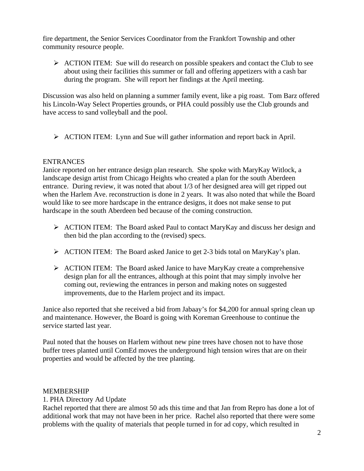fire department, the Senior Services Coordinator from the Frankfort Township and other community resource people.

 $\triangleright$  ACTION ITEM: Sue will do research on possible speakers and contact the Club to see about using their facilities this summer or fall and offering appetizers with a cash bar during the program. She will report her findings at the April meeting.

Discussion was also held on planning a summer family event, like a pig roast. Tom Barz offered his Lincoln-Way Select Properties grounds, or PHA could possibly use the Club grounds and have access to sand volleyball and the pool.

¾ ACTION ITEM: Lynn and Sue will gather information and report back in April.

## ENTRANCES

Janice reported on her entrance design plan research. She spoke with MaryKay Witlock, a landscape design artist from Chicago Heights who created a plan for the south Aberdeen entrance. During review, it was noted that about 1/3 of her designed area will get ripped out when the Harlem Ave. reconstruction is done in 2 years. It was also noted that while the Board would like to see more hardscape in the entrance designs, it does not make sense to put hardscape in the south Aberdeen bed because of the coming construction.

- $\triangleright$  ACTION ITEM: The Board asked Paul to contact MaryKay and discuss her design and then bid the plan according to the (revised) specs.
- ¾ ACTION ITEM: The Board asked Janice to get 2-3 bids total on MaryKay's plan.
- ¾ ACTION ITEM: The Board asked Janice to have MaryKay create a comprehensive design plan for all the entrances, although at this point that may simply involve her coming out, reviewing the entrances in person and making notes on suggested improvements, due to the Harlem project and its impact.

Janice also reported that she received a bid from Jabaay's for \$4,200 for annual spring clean up and maintenance. However, the Board is going with Koreman Greenhouse to continue the service started last year.

Paul noted that the houses on Harlem without new pine trees have chosen not to have those buffer trees planted until ComEd moves the underground high tension wires that are on their properties and would be affected by the tree planting.

#### MEMBERSHIP

#### 1. PHA Directory Ad Update

Rachel reported that there are almost 50 ads this time and that Jan from Repro has done a lot of additional work that may not have been in her price. Rachel also reported that there were some problems with the quality of materials that people turned in for ad copy, which resulted in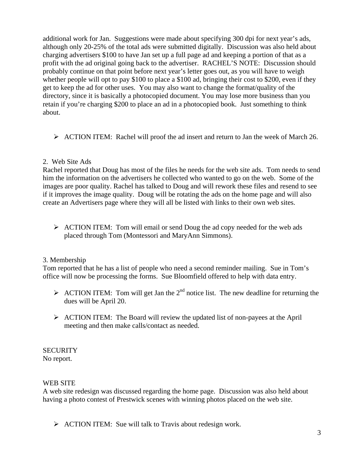additional work for Jan. Suggestions were made about specifying 300 dpi for next year's ads, although only 20-25% of the total ads were submitted digitally. Discussion was also held about charging advertisers \$100 to have Jan set up a full page ad and keeping a portion of that as a profit with the ad original going back to the advertiser. RACHEL'S NOTE: Discussion should probably continue on that point before next year's letter goes out, as you will have to weigh whether people will opt to pay \$100 to place a \$100 ad, bringing their cost to \$200, even if they get to keep the ad for other uses. You may also want to change the format/quality of the directory, since it is basically a photocopied document. You may lose more business than you retain if you're charging \$200 to place an ad in a photocopied book. Just something to think about.

¾ ACTION ITEM: Rachel will proof the ad insert and return to Jan the week of March 26.

## 2. Web Site Ads

Rachel reported that Doug has most of the files he needs for the web site ads. Tom needs to send him the information on the advertisers he collected who wanted to go on the web. Some of the images are poor quality. Rachel has talked to Doug and will rework these files and resend to see if it improves the image quality. Doug will be rotating the ads on the home page and will also create an Advertisers page where they will all be listed with links to their own web sites.

 $\triangleright$  ACTION ITEM: Tom will email or send Doug the ad copy needed for the web ads placed through Tom (Montessori and MaryAnn Simmons).

# 3. Membership

Tom reported that he has a list of people who need a second reminder mailing. Sue in Tom's office will now be processing the forms. Sue Bloomfield offered to help with data entry.

- $\triangleright$  ACTION ITEM: Tom will get Jan the 2<sup>nd</sup> notice list. The new deadline for returning the dues will be April 20.
- $\triangleright$  ACTION ITEM: The Board will review the updated list of non-payees at the April meeting and then make calls/contact as needed.

# **SECURITY**

No report.

# WEB SITE

A web site redesign was discussed regarding the home page. Discussion was also held about having a photo contest of Prestwick scenes with winning photos placed on the web site.

 $\triangleright$  ACTION ITEM: Sue will talk to Travis about redesign work.